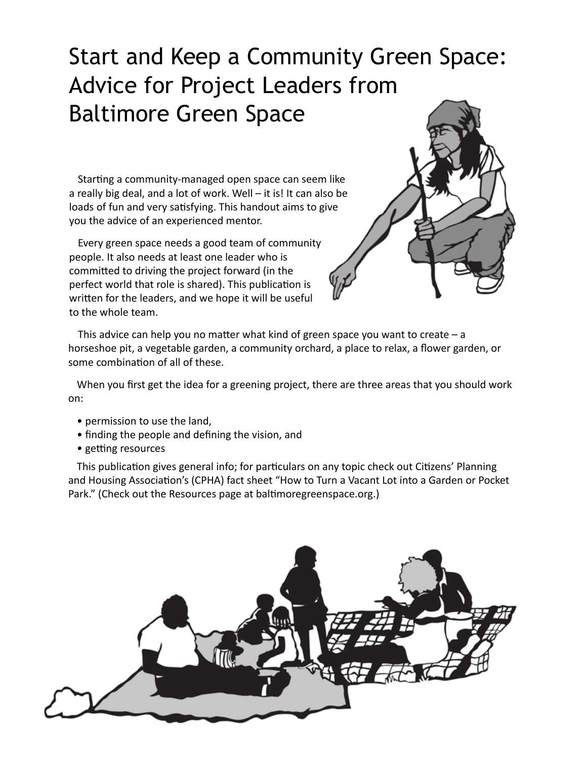# Start and Keep a Community Green Space: Advice for Project Leaders from Baltimore Green Space

Starting a community-managed open space can seem like a really big deal, and a lot of work. Well – it is! It can also be loads of fun and very satisfying. This handout aims to give you the advice of an experienced mentor.

Every green space needs a good team of community people. It also needs at least one leader who is committed to driving the project forward (in the perfect world that role is shared). This publication is written for the leaders, and we hope it will be useful to the whole team.



This advice can help you no matter what kind of green space you want to create  $-$  a horseshoe pit, a vegetable garden, a community orchard, a place to relax, a flower garden, or some combination of all of these.

When you first get the idea for a greening project, there are three areas that you should work on:

- permission to use the land,
- finding the people and defining the vision, and
- getting resources

This publication gives general info; for particulars on any topic check out Citizens' Planning and Housing Association's (CPHA) fact sheet "How to Turn a Vacant Lot into a Garden or Pocket Park." (Check out the Resources page at baltimoregreenspace.org.)

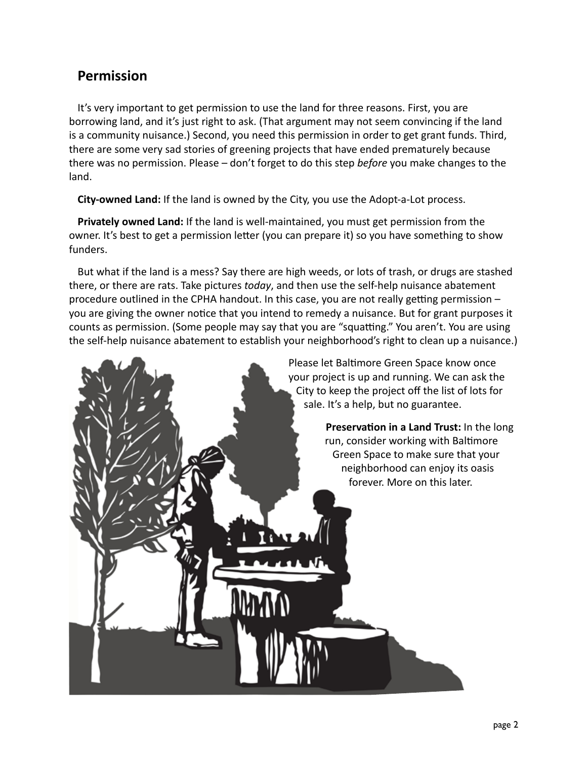#### **Permission**

It's very important to get permission to use the land for three reasons. First, you are borrowing land, and it's just right to ask. (That argument may not seem convincing if the land is a community nuisance.) Second, you need this permission in order to get grant funds. Third, there are some very sad stories of greening projects that have ended prematurely because there was no permission. Please – don't forget to do this step *before* you make changes to the land.

**City-owned Land:** If the land is owned by the City, you use the Adopt-a-Lot process.

**Privately owned Land:** If the land is well-maintained, you must get permission from the owner. It's best to get a permission letter (you can prepare it) so you have something to show funders.

But what if the land is a mess? Say there are high weeds, or lots of trash, or drugs are stashed there, or there are rats. Take pictures *today*, and then use the self-help nuisance abatement procedure outlined in the CPHA handout. In this case, you are not really getting permission – you are giving the owner notice that you intend to remedy a nuisance. But for grant purposes it counts as permission. (Some people may say that you are "squatting." You aren't. You are using the self-help nuisance abatement to establish your neighborhood's right to clean up a nuisance.)

> Please let Baltimore Green Space know once your project is up and running. We can ask the City to keep the project off the list of lots for sale. It's a help, but no guarantee.

> > **Preservation in a Land Trust:** In the long run, consider working with Baltimore Green Space to make sure that your neighborhood can enjoy its oasis forever. More on this later.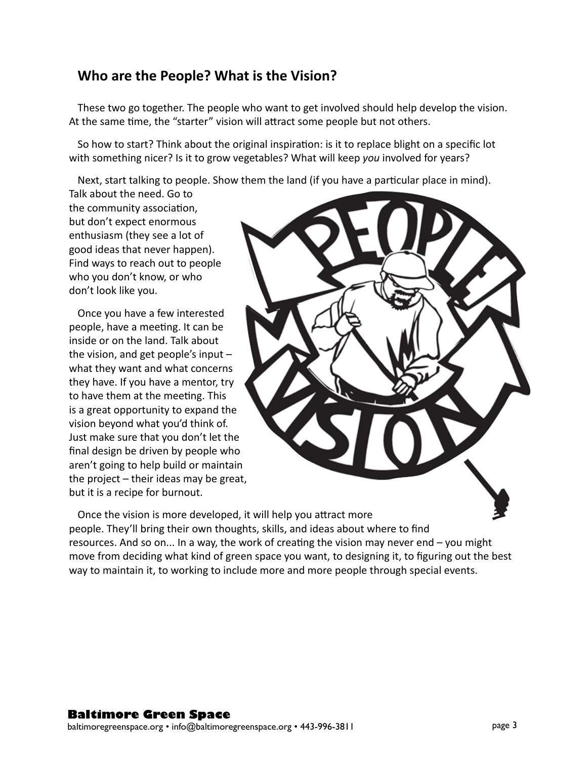#### **Who are the People? What is the Vision?**

These two go together. The people who want to get involved should help develop the vision. At the same time, the "starter" vision will attract some people but not others.

So how to start? Think about the original inspiration: is it to replace blight on a specific lot with something nicer? Is it to grow vegetables? What will keep *you* involved for years?

Next, start talking to people. Show them the land (if you have a particular place in mind).

Talk about the need. Go to the community association, but don't expect enormous enthusiasm (they see a lot of good ideas that never happen). Find ways to reach out to people who you don't know, or who don't look like you.

Once you have a few interested people, have a meeting. It can be inside or on the land. Talk about the vision, and get people's input – what they want and what concerns they have. If you have a mentor, try to have them at the meeting. This is a great opportunity to expand the vision beyond what you'd think of. Just make sure that you don't let the final design be driven by people who aren't going to help build or maintain the project – their ideas may be great, but it is a recipe for burnout.



Once the vision is more developed, it will help you attract more people. They'll bring their own thoughts, skills, and ideas about where to find resources. And so on... In a way, the work of creating the vision may never end – you might move from deciding what kind of green space you want, to designing it, to figuring out the best way to maintain it, to working to include more and more people through special events.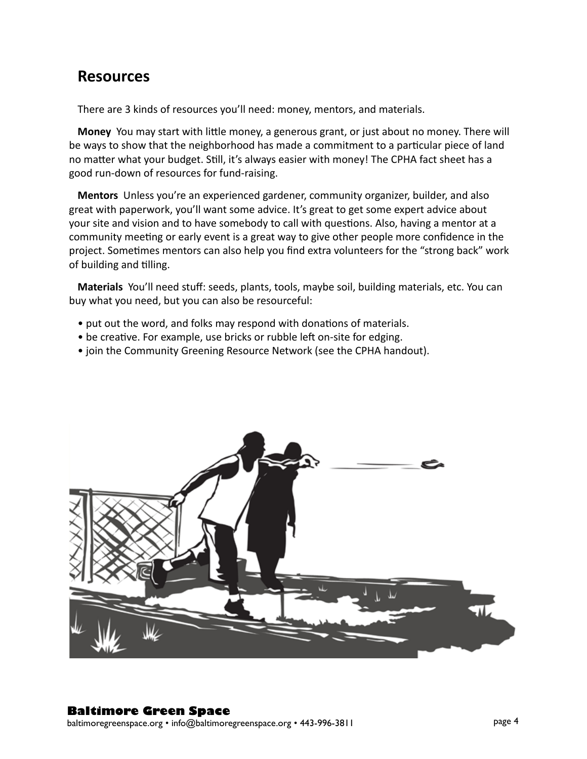# **Resources**

There are 3 kinds of resources you'll need: money, mentors, and materials.

**Money** You may start with little money, a generous grant, or just about no money. There will be ways to show that the neighborhood has made a commitment to a particular piece of land no matter what your budget. Still, it's always easier with money! The CPHA fact sheet has a good run-down of resources for fund-raising.

**Mentors** Unless you're an experienced gardener, community organizer, builder, and also great with paperwork, you'll want some advice. It's great to get some expert advice about your site and vision and to have somebody to call with questions. Also, having a mentor at a community meeting or early event is a great way to give other people more confidence in the project. Sometimes mentors can also help you find extra volunteers for the "strong back" work of building and tilling.

**Materials** You'll need stuff: seeds, plants, tools, maybe soil, building materials, etc. You can buy what you need, but you can also be resourceful:

- put out the word, and folks may respond with donations of materials.
- be creative. For example, use bricks or rubble left on-site for edging.
- join the Community Greening Resource Network (see the CPHA handout).

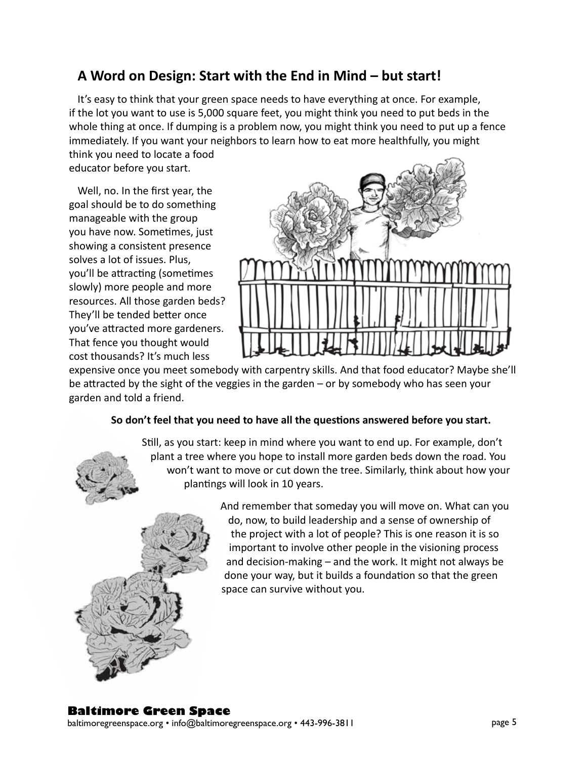# **A Word on Design: Start with the End in Mind – but start!**

It's easy to think that your green space needs to have everything at once. For example, if the lot you want to use is 5,000 square feet, you might think you need to put beds in the whole thing at once. If dumping is a problem now, you might think you need to put up a fence immediately. If you want your neighbors to learn how to eat more healthfully, you might think you need to locate a food

educator before you start.

Well, no. In the first year, the goal should be to do something manageable with the group you have now. Sometimes, just showing a consistent presence solves a lot of issues. Plus, you'll be attracting (sometimes slowly) more people and more resources. All those garden beds? They'll be tended better once you've attracted more gardeners. That fence you thought would cost thousands? It's much less



expensive once you meet somebody with carpentry skills. And that food educator? Maybe she'll be attracted by the sight of the veggies in the garden – or by somebody who has seen your garden and told a friend.

#### **So don't feel that you need to have all the questions answered before you start.**

Still, as you start: keep in mind where you want to end up. For example, don't plant a tree where you hope to install more garden beds down the road. You won't want to move or cut down the tree. Similarly, think about how your plantings will look in 10 years.



And remember that someday you will move on. What can you do, now, to build leadership and a sense of ownership of the project with a lot of people? This is one reason it is so important to involve other people in the visioning process and decision-making – and the work. It might not always be done your way, but it builds a foundation so that the green space can survive without you.